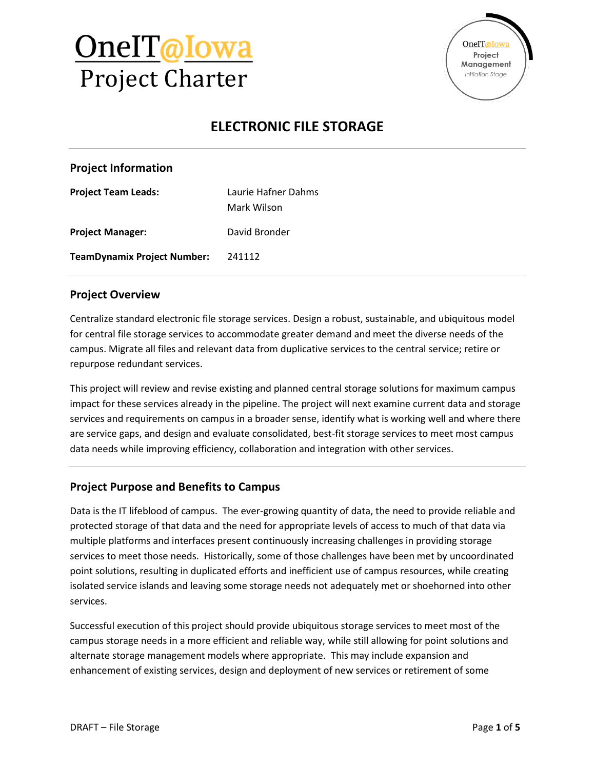



## **ELECTRONIC FILE STORAGE**

#### **Project Information**

| <b>Project Team Leads:</b>         | Laurie Hafner Dahms |
|------------------------------------|---------------------|
|                                    | Mark Wilson         |
| <b>Project Manager:</b>            | David Bronder       |
| <b>TeamDynamix Project Number:</b> | 241112              |

#### **Project Overview**

Centralize standard electronic file storage services. Design a robust, sustainable, and ubiquitous model for central file storage services to accommodate greater demand and meet the diverse needs of the campus. Migrate all files and relevant data from duplicative services to the central service; retire or repurpose redundant services.

This project will review and revise existing and planned central storage solutions for maximum campus impact for these services already in the pipeline. The project will next examine current data and storage services and requirements on campus in a broader sense, identify what is working well and where there are service gaps, and design and evaluate consolidated, best-fit storage services to meet most campus data needs while improving efficiency, collaboration and integration with other services.

### **Project Purpose and Benefits to Campus**

Data is the IT lifeblood of campus. The ever-growing quantity of data, the need to provide reliable and protected storage of that data and the need for appropriate levels of access to much of that data via multiple platforms and interfaces present continuously increasing challenges in providing storage services to meet those needs. Historically, some of those challenges have been met by uncoordinated point solutions, resulting in duplicated efforts and inefficient use of campus resources, while creating isolated service islands and leaving some storage needs not adequately met or shoehorned into other services.

Successful execution of this project should provide ubiquitous storage services to meet most of the campus storage needs in a more efficient and reliable way, while still allowing for point solutions and alternate storage management models where appropriate. This may include expansion and enhancement of existing services, design and deployment of new services or retirement of some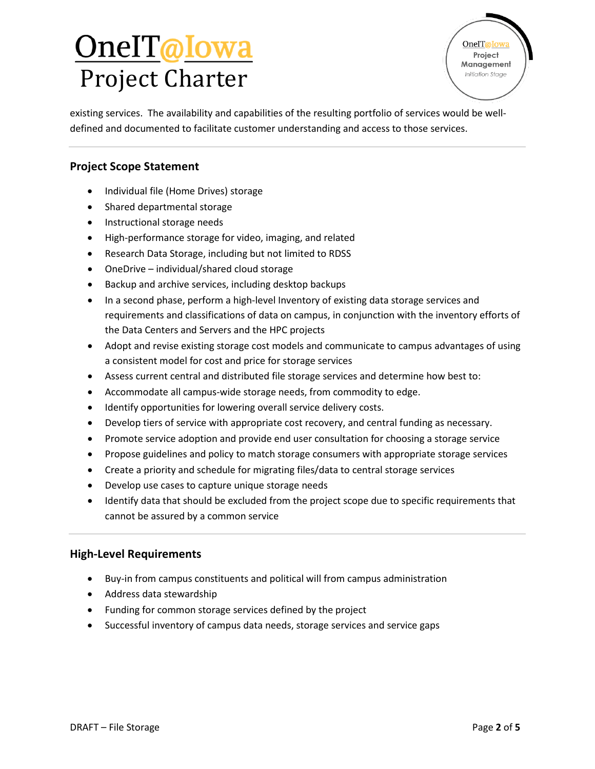# <u>OnelT@Iowa</u> Project Charter

**OneIT**@Iowa Project Management Initiation Stage

existing services. The availability and capabilities of the resulting portfolio of services would be welldefined and documented to facilitate customer understanding and access to those services.

### **Project Scope Statement**

- Individual file (Home Drives) storage
- Shared departmental storage
- Instructional storage needs
- High-performance storage for video, imaging, and related
- Research Data Storage, including but not limited to RDSS
- OneDrive individual/shared cloud storage
- Backup and archive services, including desktop backups
- In a second phase, perform a high-level Inventory of existing data storage services and requirements and classifications of data on campus, in conjunction with the inventory efforts of the Data Centers and Servers and the HPC projects
- Adopt and revise existing storage cost models and communicate to campus advantages of using a consistent model for cost and price for storage services
- Assess current central and distributed file storage services and determine how best to:
- Accommodate all campus-wide storage needs, from commodity to edge.
- Identify opportunities for lowering overall service delivery costs.
- Develop tiers of service with appropriate cost recovery, and central funding as necessary.
- Promote service adoption and provide end user consultation for choosing a storage service
- Propose guidelines and policy to match storage consumers with appropriate storage services
- Create a priority and schedule for migrating files/data to central storage services
- Develop use cases to capture unique storage needs
- Identify data that should be excluded from the project scope due to specific requirements that cannot be assured by a common service

#### **High-Level Requirements**

- Buy-in from campus constituents and political will from campus administration
- Address data stewardship
- Funding for common storage services defined by the project
- Successful inventory of campus data needs, storage services and service gaps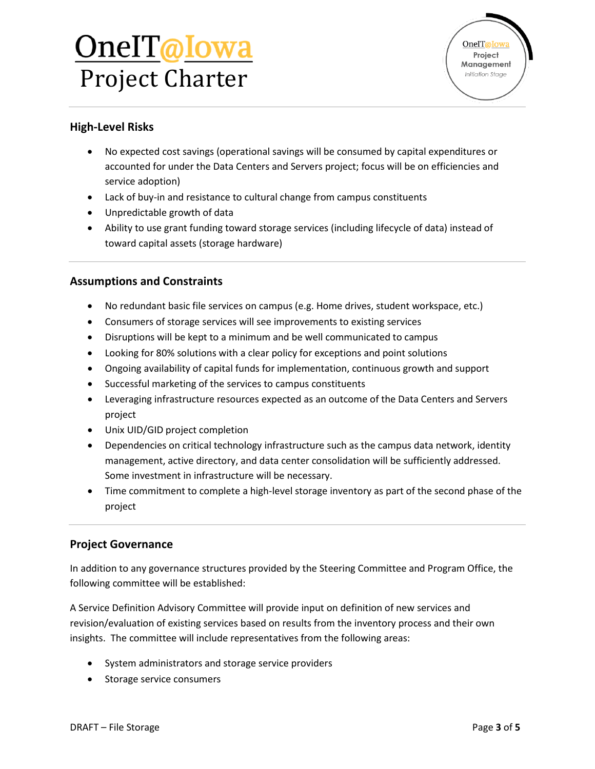# OneIT@Iowa Project Charter



### **High-Level Risks**

- No expected cost savings (operational savings will be consumed by capital expenditures or accounted for under the Data Centers and Servers project; focus will be on efficiencies and service adoption)
- Lack of buy-in and resistance to cultural change from campus constituents
- Unpredictable growth of data
- Ability to use grant funding toward storage services (including lifecycle of data) instead of toward capital assets (storage hardware)

### **Assumptions and Constraints**

- No redundant basic file services on campus (e.g. Home drives, student workspace, etc.)
- Consumers of storage services will see improvements to existing services
- Disruptions will be kept to a minimum and be well communicated to campus
- Looking for 80% solutions with a clear policy for exceptions and point solutions
- Ongoing availability of capital funds for implementation, continuous growth and support
- Successful marketing of the services to campus constituents
- Leveraging infrastructure resources expected as an outcome of the Data Centers and Servers project
- Unix UID/GID project completion
- Dependencies on critical technology infrastructure such as the campus data network, identity management, active directory, and data center consolidation will be sufficiently addressed. Some investment in infrastructure will be necessary.
- Time commitment to complete a high-level storage inventory as part of the second phase of the project

### **Project Governance**

In addition to any governance structures provided by the Steering Committee and Program Office, the following committee will be established:

A Service Definition Advisory Committee will provide input on definition of new services and revision/evaluation of existing services based on results from the inventory process and their own insights. The committee will include representatives from the following areas:

- System administrators and storage service providers
- Storage service consumers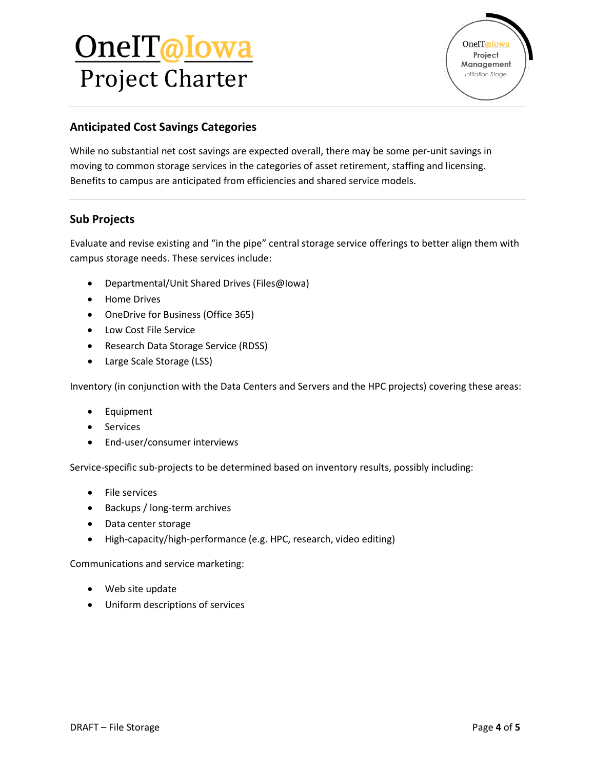# <u>OnelT@Iowa</u> Project Charter



### **Anticipated Cost Savings Categories**

While no substantial net cost savings are expected overall, there may be some per-unit savings in moving to common storage services in the categories of asset retirement, staffing and licensing. Benefits to campus are anticipated from efficiencies and shared service models.

### **Sub Projects**

Evaluate and revise existing and "in the pipe" central storage service offerings to better align them with campus storage needs. These services include:

- Departmental/Unit Shared Drives (Files@Iowa)
- Home Drives
- OneDrive for Business (Office 365)
- Low Cost File Service
- Research Data Storage Service (RDSS)
- Large Scale Storage (LSS)

Inventory (in conjunction with the Data Centers and Servers and the HPC projects) covering these areas:

- Equipment
- Services
- End-user/consumer interviews

Service-specific sub-projects to be determined based on inventory results, possibly including:

- File services
- Backups / long-term archives
- Data center storage
- High-capacity/high-performance (e.g. HPC, research, video editing)

Communications and service marketing:

- Web site update
- Uniform descriptions of services